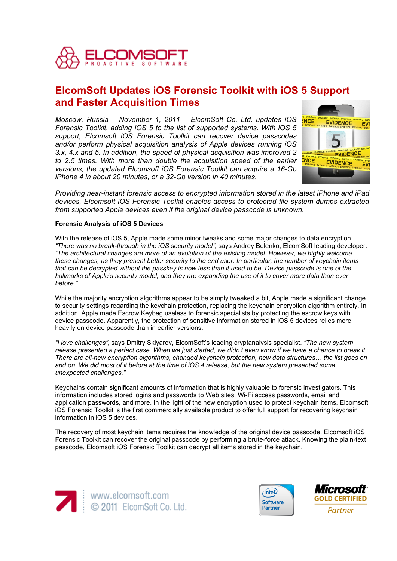

# **ElcomSoft Updates iOS Forensic Toolkit with iOS 5 Support and Faster Acquisition Times**

*Moscow, Russia – November 1, 2011 – ElcomSoft Co. Ltd. updates iOS Forensic Toolkit, adding iOS 5 to the list of supported systems. With iOS 5 support, Elcomsoft iOS Forensic Toolkit can recover device passcodes and/or perform physical acquisition analysis of Apple devices running iOS 3.x, 4.x and 5. In addition, the speed of physical acquisition was improved 2 to 2.5 times. With more than double the acquisition speed of the earlier versions, the updated Elcomsoft iOS Forensic Toolkit can acquire a 16-Gb iPhone 4 in about 20 minutes, or a 32-Gb version in 40 minutes.* 



*Providing near-instant forensic access to encrypted information stored in the latest iPhone and iPad devices, Elcomsoft iOS Forensic Toolkit enables access to protected file system dumps extracted from supported Apple devices even if the original device passcode is unknown.*

# **Forensic Analysis of iOS 5 Devices**

With the release of iOS 5, Apple made some minor tweaks and some major changes to data encryption. *"There was no break-through in the iOS security model"*, says Andrey Belenko, ElcomSoft leading developer. *"The architectural changes are more of an evolution of the existing model. However, we highly welcome these changes, as they present better security to the end user. In particular, the number of keychain items that can be decrypted without the passkey is now less than it used to be. Device passcode is one of the hallmarks of Apple's security model, and they are expanding the use of it to cover more data than ever before."*

While the majority encryption algorithms appear to be simply tweaked a bit, Apple made a significant change to security settings regarding the keychain protection, replacing the keychain encryption algorithm entirely. In addition, Apple made Escrow Keybag useless to forensic specialists by protecting the escrow keys with device passcode. Apparently, the protection of sensitive information stored in iOS 5 devices relies more heavily on device passcode than in earlier versions.

*"I love challenges"*, says Dmitry Sklyarov, ElcomSoft's leading cryptanalysis specialist. *"The new system*  release presented a perfect case. When we just started, we didn't even know if we have a chance to break it. *There are all-new encryption algorithms, changed keychain protection, new data structures… the list goes on and on. We did most of it before at the time of iOS 4 release, but the new system presented some unexpected challenges."*

Keychains contain significant amounts of information that is highly valuable to forensic investigators. This information includes stored logins and passwords to Web sites, Wi-Fi access passwords, email and application passwords, and more. In the light of the new encryption used to protect keychain items, Elcomsoft iOS Forensic Toolkit is the first commercially available product to offer full support for recovering keychain information in iOS 5 devices.

The recovery of most keychain items requires the knowledge of the original device passcode. Elcomsoft iOS Forensic Toolkit can recover the original passcode by performing a brute-force attack. Knowing the plain-text passcode, Elcomsoft iOS Forensic Toolkit can decrypt all items stored in the keychain.